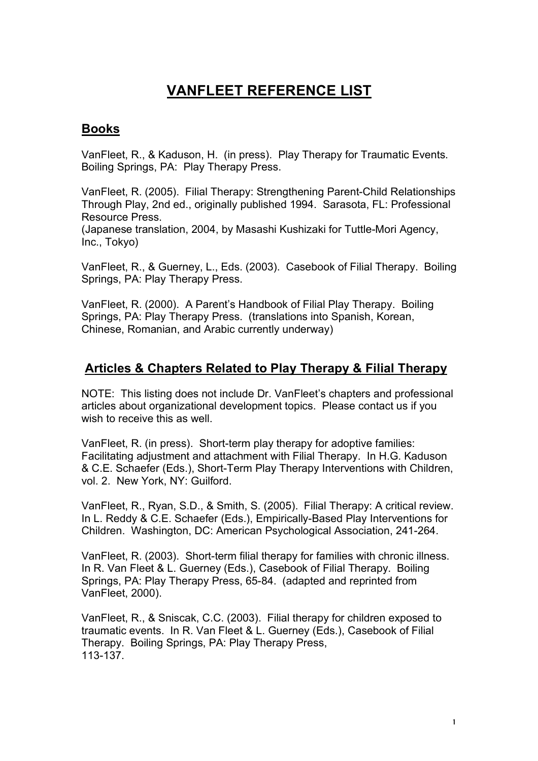## **VANFLEET REFERENCE LIST**

## **Books**

VanFleet, R., & Kaduson, H. (in press). Play Therapy for Traumatic Events. Boiling Springs, PA: Play Therapy Press.

VanFleet, R. (2005). Filial Therapy: Strengthening Parent-Child Relationships Through Play, 2nd ed., originally published 1994. Sarasota, FL: Professional Resource Press.

(Japanese translation, 2004, by Masashi Kushizaki for Tuttle-Mori Agency, Inc., Tokyo)

VanFleet, R., & Guerney, L., Eds. (2003). Casebook of Filial Therapy. Boiling Springs, PA: Play Therapy Press.

VanFleet, R. (2000). A Parent's Handbook of Filial Play Therapy. Boiling Springs, PA: Play Therapy Press. (translations into Spanish, Korean, Chinese, Romanian, and Arabic currently underway)

## **Articles & Chapters Related to Play Therapy & Filial Therapy**

NOTE: This listing does not include Dr. VanFleet's chapters and professional articles about organizational development topics. Please contact us if you wish to receive this as well.

VanFleet, R. (in press). Short-term play therapy for adoptive families: Facilitating adjustment and attachment with Filial Therapy. In H.G. Kaduson & C.E. Schaefer (Eds.), Short-Term Play Therapy Interventions with Children, vol. 2. New York, NY: Guilford.

VanFleet, R., Ryan, S.D., & Smith, S. (2005). Filial Therapy: A critical review. In L. Reddy & C.E. Schaefer (Eds.), Empirically-Based Play Interventions for Children. Washington, DC: American Psychological Association, 241-264.

VanFleet, R. (2003). Short-term filial therapy for families with chronic illness. In R. Van Fleet & L. Guerney (Eds.), Casebook of Filial Therapy. Boiling Springs, PA: Play Therapy Press, 65-84. (adapted and reprinted from VanFleet, 2000).

VanFleet, R., & Sniscak, C.C. (2003). Filial therapy for children exposed to traumatic events. In R. Van Fleet & L. Guerney (Eds.), Casebook of Filial Therapy. Boiling Springs, PA: Play Therapy Press, 113-137.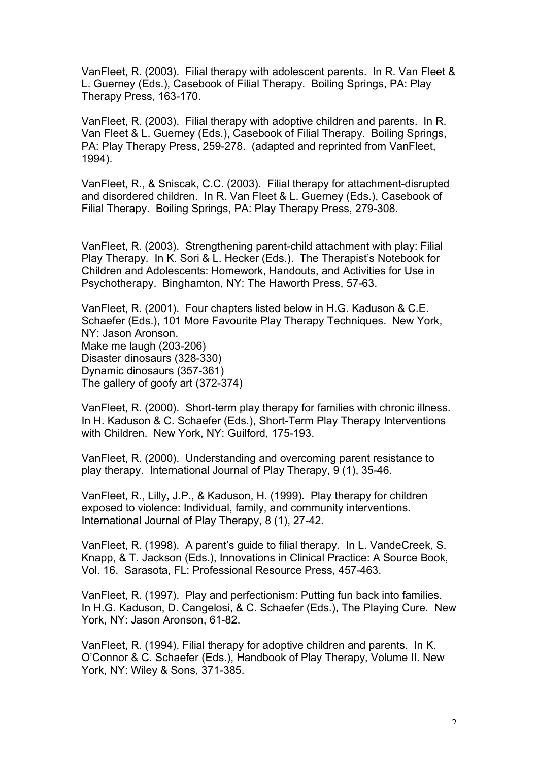VanFleet, R. (2003). Filial therapy with adolescent parents. In R. Van Fleet & L. Guerney (Eds.), Casebook of Filial Therapy. Boiling Springs, PA: Play Therapy Press, 163-170.

VanFleet, R. (2003). Filial therapy with adoptive children and parents. In R. Van Fleet & L. Guerney (Eds.), Casebook of Filial Therapy. Boiling Springs, PA: Play Therapy Press, 259-278. (adapted and reprinted from VanFleet, 1994).

VanFleet, R., & Sniscak, C.C. (2003). Filial therapy for attachment-disrupted and disordered children. In R. Van Fleet & L. Guerney (Eds.), Casebook of Filial Therapy. Boiling Springs, PA: Play Therapy Press, 279-308.

VanFleet, R. (2003). Strengthening parent-child attachment with play: Filial Play Therapy. In K. Sori & L. Hecker (Eds.). The Therapist's Notebook for Children and Adolescents: Homework, Handouts, and Activities for Use in Psychotherapy. Binghamton, NY: The Haworth Press, 57-63.

VanFleet, R. (2001). Four chapters listed below in H.G. Kaduson & C.E. Schaefer (Eds.), 101 More Favourite Play Therapy Techniques. New York, NY: Jason Aronson. Make me laugh (203-206) Disaster dinosaurs (328-330) Dynamic dinosaurs (357-361) The gallery of goofy art (372-374)

VanFleet, R. (2000). Short-term play therapy for families with chronic illness. In H. Kaduson & C. Schaefer (Eds.), Short-Term Play Therapy Interventions with Children. New York, NY: Guilford, 175-193.

VanFleet, R. (2000). Understanding and overcoming parent resistance to play therapy. International Journal of Play Therapy, 9 (1), 35-46.

VanFleet, R., Lilly, J.P., & Kaduson, H. (1999). Play therapy for children exposed to violence: Individual, family, and community interventions. International Journal of Play Therapy, 8 (1), 27-42.

VanFleet, R. (1998). A parent's guide to filial therapy. In L. VandeCreek, S. Knapp, & T. Jackson (Eds.), Innovations in Clinical Practice: A Source Book, Vol. 16. Sarasota, FL: Professional Resource Press, 457-463.

VanFleet, R. (1997). Play and perfectionism: Putting fun back into families. In H.G. Kaduson, D. Cangelosi, & C. Schaefer (Eds.), The Playing Cure. New York, NY: Jason Aronson, 61-82.

VanFleet, R. (1994). Filial therapy for adoptive children and parents. In K. O'Connor & C. Schaefer (Eds.), Handbook of Play Therapy, Volume II. New York, NY: Wiley & Sons, 371-385.